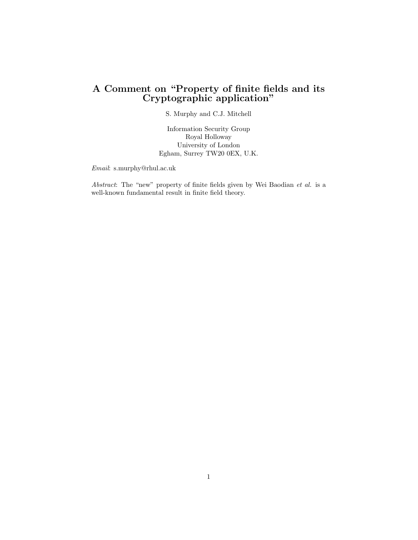## A Comment on "Property of finite fields and its Cryptographic application"

S. Murphy and C.J. Mitchell

Information Security Group Royal Holloway University of London Egham, Surrey TW20 0EX, U.K.

Email: s.murphy@rhul.ac.uk

Abstract: The "new" property of finite fields given by Wei Baodian et al. is a well-known fundamental result in finite field theory.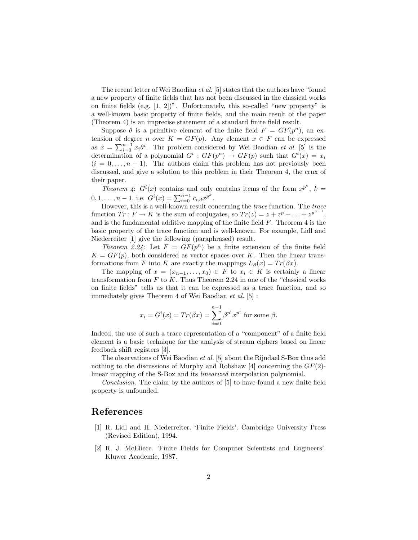The recent letter of Wei Baodian et al. [5] states that the authors have "found a new property of finite fields that has not been discussed in the classical works on finite fields (e.g.  $[1, 2]$ )". Unfortunately, this so-called "new property" is a well-known basic property of finite fields, and the main result of the paper (Theorem 4) is an imprecise statement of a standard finite field result.

Suppose  $\theta$  is a primitive element of the finite field  $F = GF(p^n)$ , an extension of degree n over  $K = GF(p)$ . Any element  $x \in F$  can be expressed tension of degree *n* over  $K = \mathbf{G} \cdot p(\mathbf{p})$ . Any element  $x \in \mathbf{P}$  can be expressed<br>as  $x = \sum_{i=0}^{n-1} x_i \theta^i$ . The problem considered by Wei Baodian *et al.* [5] is the determination of a polynomial  $G^i : GF(p^n) \to GF(p)$  such that  $G^i(x) = x_i$  $(i = 0, \ldots, n - 1)$ . The authors claim this problem has not previously been discussed, and give a solution to this problem in their Theorem 4, the crux of their paper.

*Theorem 4:*  $G^{i}(x)$  contains and only contains items of the form  $x^{p^{k}}$ ,  $k =$ 0, 1, ...,  $n - 1$ , i.e.  $G^{i}(x) = \sum_{i=0}^{n-1} c_{i,d} x^{p^{k}}$ .

However, this is a well-known result concerning the trace function. The trace function  $Tr: F \to K$  is the sum of conjugates, so  $Tr(z) = z + z^p + \ldots + z^{p^{n-1}}$ , and is the fundamental additive mapping of the finite field  $F$ . Theorem 4 is the basic property of the trace function and is well-known. For example, Lidl and Niederreiter [1] give the following (paraphrased) result.

Theorem 2.24: Let  $F = GF(p^n)$  be a finite extension of the finite field  $K = GF(p)$ , both considered as vector spaces over K. Then the linear transformations from F into K are exactly the mappings  $L_\beta(x) = Tr(\beta x)$ .

The mapping of  $x = (x_{n-1}, \ldots, x_0) \in F$  to  $x_i \in K$  is certainly a linear transformation from  $F$  to  $K$ . Thus Theorem 2.24 in one of the "classical works" on finite fields" tells us that it can be expressed as a trace function, and so immediately gives Theorem 4 of Wei Baodian et al. [5] :

$$
x_i = G^i(x) = Tr(\beta x) = \sum_{i=0}^{n-1} \beta^{p^i} x^{p^i}
$$
 for some  $\beta$ .

Indeed, the use of such a trace representation of a "component" of a finite field element is a basic technique for the analysis of stream ciphers based on linear feedback shift registers [3].

The observations of Wei Baodian et al. [5] about the Rijndael S-Box thus add nothing to the discussions of Murphy and Robshaw [4] concerning the  $GF(2)$ linear mapping of the S-Box and its linearized interpolation polynomial.

Conclusion. The claim by the authors of [5] to have found a new finite field property is unfounded.

## References

- [1] R. Lidl and H. Niederreiter. 'Finite Fields'. Cambridge University Press (Revised Edition), 1994.
- [2] R. J. McEliece. 'Finite Fields for Computer Scientists and Engineers'. Kluwer Academic, 1987.